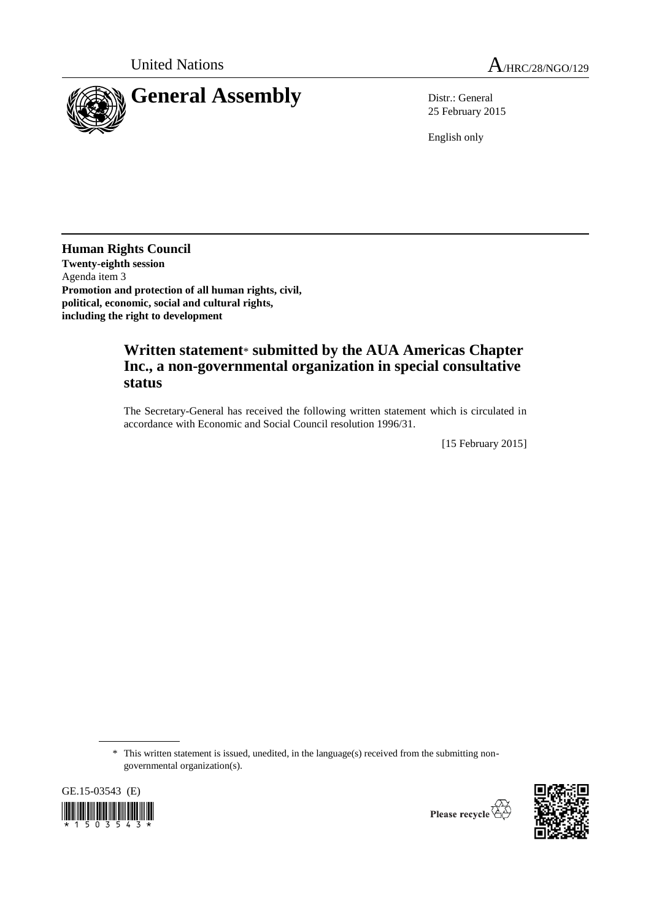

25 February 2015

English only

**Human Rights Council Twenty-eighth session** Agenda item 3 **Promotion and protection of all human rights, civil, political, economic, social and cultural rights, including the right to development**

## **Written statement**\* **submitted by the AUA Americas Chapter Inc., a non-governmental organization in special consultative status**

The Secretary-General has received the following written statement which is circulated in accordance with Economic and Social Council resolution 1996/31.

[15 February 2015]

\* This written statement is issued, unedited, in the language(s) received from the submitting nongovernmental organization(s).

GE.15-03543 (E)

 $1503543*$ 

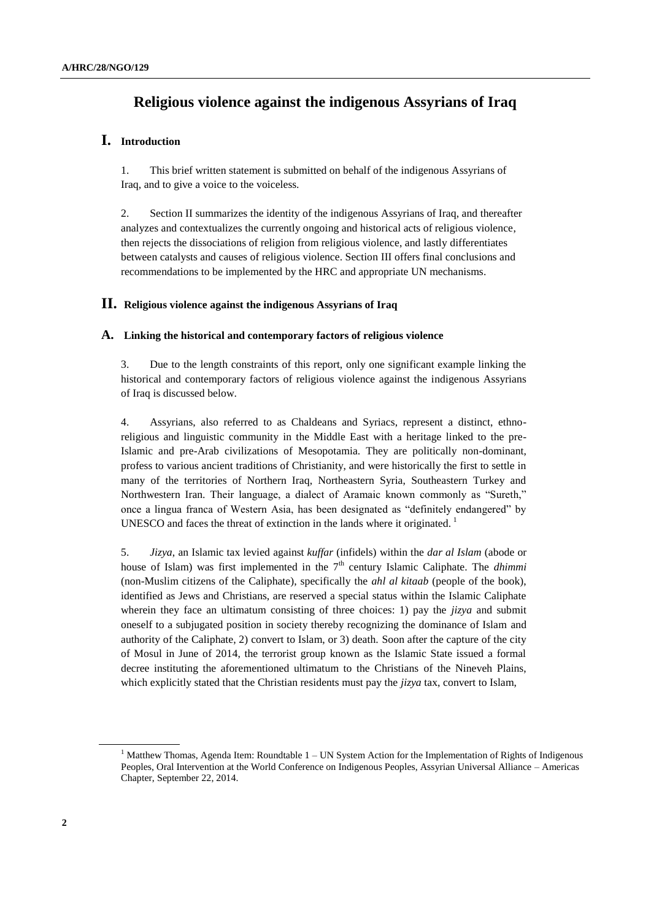# **Religious violence against the indigenous Assyrians of Iraq**

### **I. Introduction**

1. This brief written statement is submitted on behalf of the indigenous Assyrians of Iraq, and to give a voice to the voiceless.

2. Section II summarizes the identity of the indigenous Assyrians of Iraq, and thereafter analyzes and contextualizes the currently ongoing and historical acts of religious violence, then rejects the dissociations of religion from religious violence, and lastly differentiates between catalysts and causes of religious violence. Section III offers final conclusions and recommendations to be implemented by the HRC and appropriate UN mechanisms.

#### **II. Religious violence against the indigenous Assyrians of Iraq**

#### **A. Linking the historical and contemporary factors of religious violence**

3. Due to the length constraints of this report, only one significant example linking the historical and contemporary factors of religious violence against the indigenous Assyrians of Iraq is discussed below.

4. Assyrians, also referred to as Chaldeans and Syriacs, represent a distinct, ethnoreligious and linguistic community in the Middle East with a heritage linked to the pre-Islamic and pre-Arab civilizations of Mesopotamia. They are politically non-dominant, profess to various ancient traditions of Christianity, and were historically the first to settle in many of the territories of Northern Iraq, Northeastern Syria, Southeastern Turkey and Northwestern Iran. Their language, a dialect of Aramaic known commonly as "Sureth," once a lingua franca of Western Asia, has been designated as "definitely endangered" by UNESCO and faces the threat of extinction in the lands where it originated.<sup>1</sup>

5. *Jizya*, an Islamic tax levied against *kuffar* (infidels) within the *dar al Islam* (abode or house of Islam) was first implemented in the  $7<sup>th</sup>$  century Islamic Caliphate. The *dhimmi* (non-Muslim citizens of the Caliphate), specifically the *ahl al kitaab* (people of the book), identified as Jews and Christians, are reserved a special status within the Islamic Caliphate wherein they face an ultimatum consisting of three choices: 1) pay the *jizya* and submit oneself to a subjugated position in society thereby recognizing the dominance of Islam and authority of the Caliphate, 2) convert to Islam, or 3) death. Soon after the capture of the city of Mosul in June of 2014, the terrorist group known as the Islamic State issued a formal decree instituting the aforementioned ultimatum to the Christians of the Nineveh Plains, which explicitly stated that the Christian residents must pay the *jizya* tax, convert to Islam,

<sup>&</sup>lt;sup>1</sup> Matthew Thomas, Agenda Item: Roundtable  $1 - UN$  System Action for the Implementation of Rights of Indigenous Peoples, Oral Intervention at the World Conference on Indigenous Peoples, Assyrian Universal Alliance – Americas Chapter, September 22, 2014.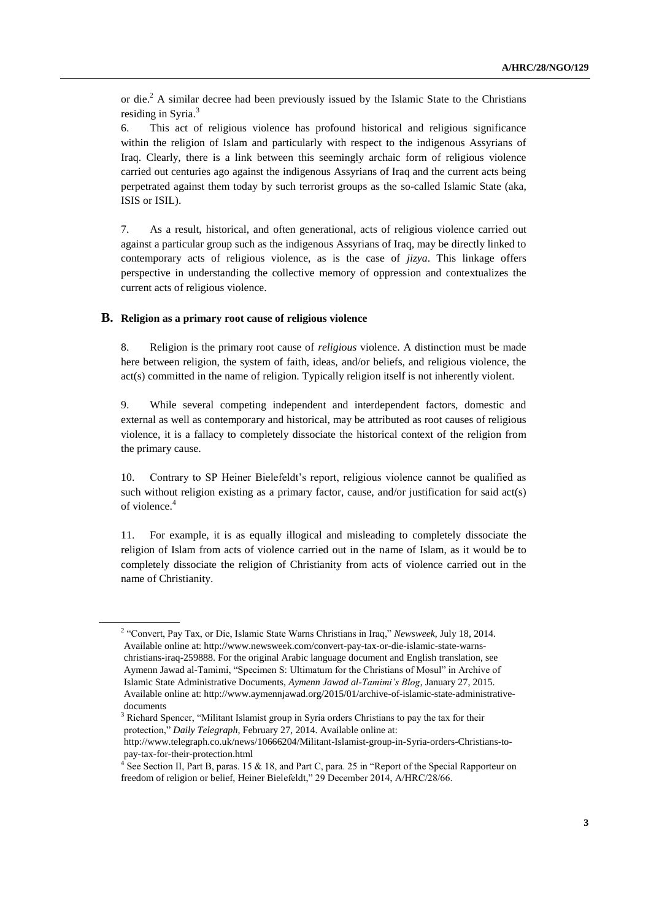or die.<sup>2</sup> A similar decree had been previously issued by the Islamic State to the Christians residing in Syria.<sup>3</sup>

6. This act of religious violence has profound historical and religious significance within the religion of Islam and particularly with respect to the indigenous Assyrians of Iraq. Clearly, there is a link between this seemingly archaic form of religious violence carried out centuries ago against the indigenous Assyrians of Iraq and the current acts being perpetrated against them today by such terrorist groups as the so-called Islamic State (aka, ISIS or ISIL).

7. As a result, historical, and often generational, acts of religious violence carried out against a particular group such as the indigenous Assyrians of Iraq, may be directly linked to contemporary acts of religious violence, as is the case of *jizya*. This linkage offers perspective in understanding the collective memory of oppression and contextualizes the current acts of religious violence.

#### **B. Religion as a primary root cause of religious violence**

8. Religion is the primary root cause of *religious* violence. A distinction must be made here between religion, the system of faith, ideas, and/or beliefs, and religious violence, the act(s) committed in the name of religion. Typically religion itself is not inherently violent.

9. While several competing independent and interdependent factors, domestic and external as well as contemporary and historical, may be attributed as root causes of religious violence, it is a fallacy to completely dissociate the historical context of the religion from the primary cause.

10. Contrary to SP Heiner Bielefeldt's report, religious violence cannot be qualified as such without religion existing as a primary factor, cause, and/or justification for said act(s) of violence. 4

11. For example, it is as equally illogical and misleading to completely dissociate the religion of Islam from acts of violence carried out in the name of Islam, as it would be to completely dissociate the religion of Christianity from acts of violence carried out in the name of Christianity.

<sup>2</sup> "Convert, Pay Tax, or Die, Islamic State Warns Christians in Iraq," *Newsweek*, July 18, 2014. Available online at[: http://www.newsweek.com/convert-pay-tax-or-die-islamic-state-warns](http://www.newsweek.com/convert-pay-tax-or-die-islamic-state-warns-christians-iraq-259888)[christians-iraq-259888.](http://www.newsweek.com/convert-pay-tax-or-die-islamic-state-warns-christians-iraq-259888) For the original Arabic language document and English translation, see Aymenn Jawad al-Tamimi, "Specimen S: Ultimatum for the Christians of Mosul" in Archive of Islamic State Administrative Documents, *Aymenn Jawad al-Tamimi's Blog*, January 27, 2015. Available online at: http://www.aymennjawad.org/2015/01/archive-of-islamic-state-administrativedocuments

 $3$  Richard Spencer, "Militant Islamist group in Syria orders Christians to pay the tax for their protection," *Daily Telegraph*, February 27, 2014. Available online at:

http://www.telegraph.co.uk/news/10666204/Militant-Islamist-group-in-Syria-orders-Christians-topay-tax-for-their-protection.html

<sup>&</sup>lt;sup>4</sup> See Section II, Part B, paras. 15 & 18, and Part C, para. 25 in "Report of the Special Rapporteur on freedom of religion or belief, Heiner Bielefeldt," 29 December 2014, A/HRC/28/66.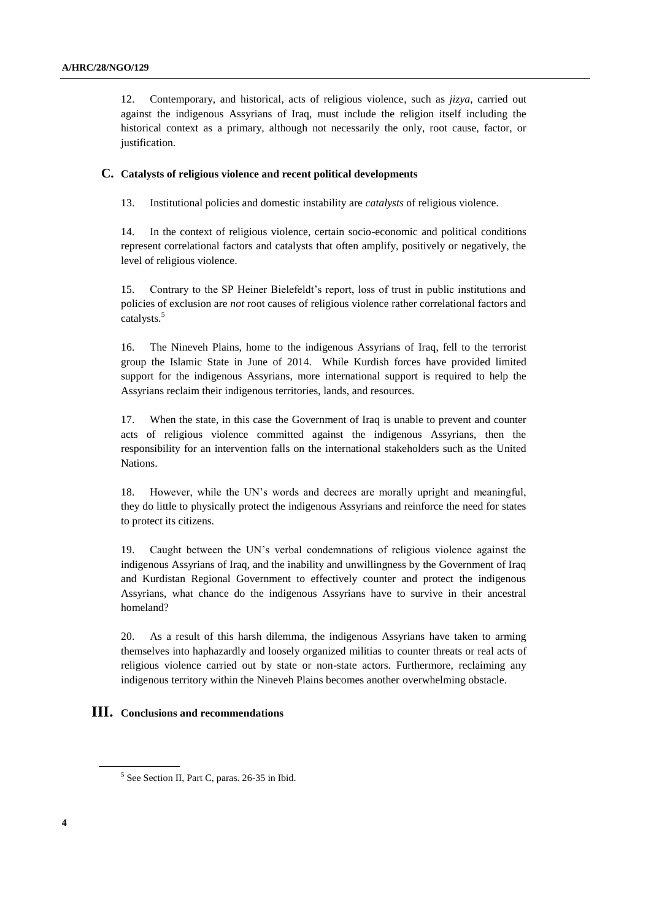12. Contemporary, and historical, acts of religious violence, such as *jizya*, carried out against the indigenous Assyrians of Iraq, must include the religion itself including the historical context as a primary, although not necessarily the only, root cause, factor, or justification.

#### **C. Catalysts of religious violence and recent political developments**

13. Institutional policies and domestic instability are *catalysts* of religious violence.

14. In the context of religious violence, certain socio-economic and political conditions represent correlational factors and catalysts that often amplify, positively or negatively, the level of religious violence.

15. Contrary to the SP Heiner Bielefeldt's report, loss of trust in public institutions and policies of exclusion are *not* root causes of religious violence rather correlational factors and catalysts.<sup>5</sup>

16. The Nineveh Plains, home to the indigenous Assyrians of Iraq, fell to the terrorist group the Islamic State in June of 2014. While Kurdish forces have provided limited support for the indigenous Assyrians, more international support is required to help the Assyrians reclaim their indigenous territories, lands, and resources.

17. When the state, in this case the Government of Iraq is unable to prevent and counter acts of religious violence committed against the indigenous Assyrians, then the responsibility for an intervention falls on the international stakeholders such as the United Nations.

18. However, while the UN's words and decrees are morally upright and meaningful, they do little to physically protect the indigenous Assyrians and reinforce the need for states to protect its citizens.

19. Caught between the UN's verbal condemnations of religious violence against the indigenous Assyrians of Iraq, and the inability and unwillingness by the Government of Iraq and Kurdistan Regional Government to effectively counter and protect the indigenous Assyrians, what chance do the indigenous Assyrians have to survive in their ancestral homeland?

20. As a result of this harsh dilemma, the indigenous Assyrians have taken to arming themselves into haphazardly and loosely organized militias to counter threats or real acts of religious violence carried out by state or non-state actors. Furthermore, reclaiming any indigenous territory within the Nineveh Plains becomes another overwhelming obstacle.

### **III. Conclusions and recommendations**

<sup>5</sup> See Section II, Part C, paras. 26-35 in Ibid.